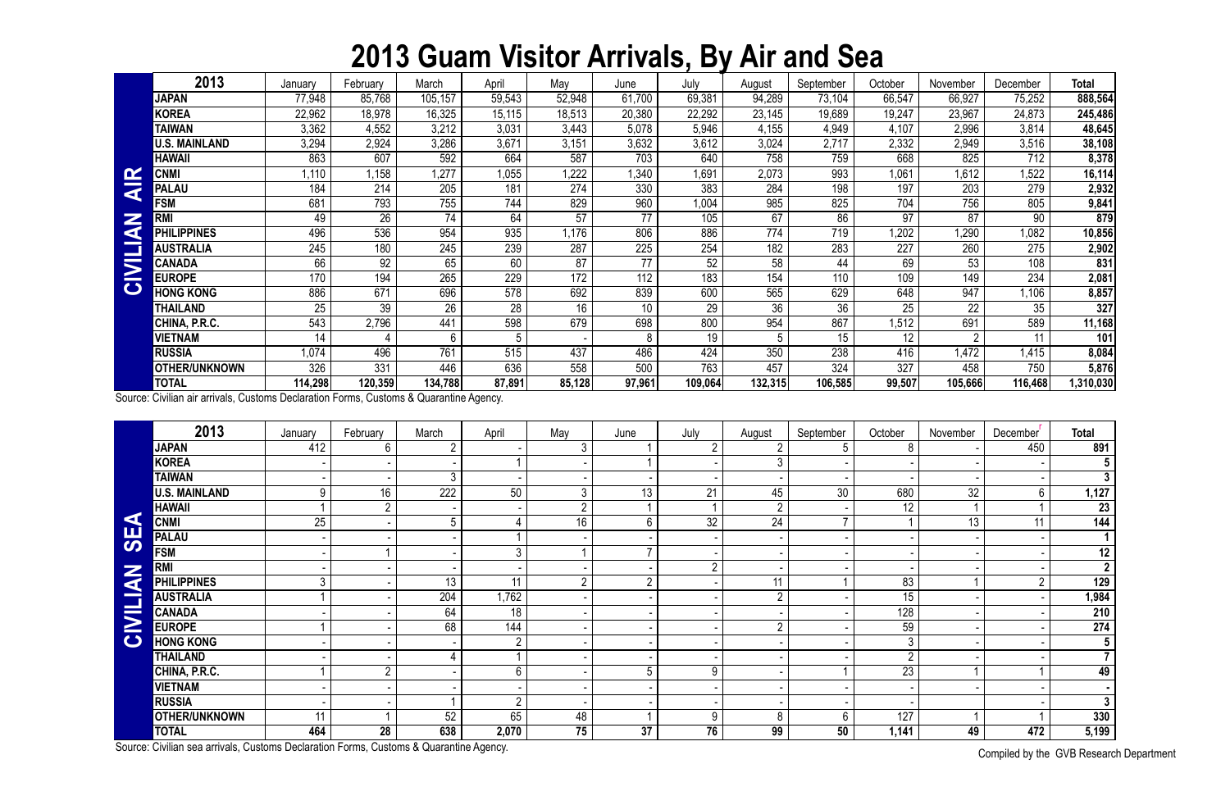## **2013 Guam Visitor Arrivals, By Air and Sea**

Compiled by the GVB Research Department

|                         | 2013                   | January | February | March   | April  | May    | June   | July    | August  | September | October | November | December | <b>Total</b> |
|-------------------------|------------------------|---------|----------|---------|--------|--------|--------|---------|---------|-----------|---------|----------|----------|--------------|
|                         | <b>JAPAN</b>           | 77,948  | 85,768   | 105,157 | 59,543 | 52,948 | 61,700 | 69,381  | 94,289  | 73,104    | 66,547  | 66,927   | 75,252   | 888,564      |
|                         | <b>KOREA</b>           | 22,962  | 18,978   | 16,325  | 15,115 | 18,513 | 20,380 | 22,292  | 23,145  | 19,689    | 19,247  | 23,967   | 24,873   | 245,486      |
|                         | <b>TAIWAN</b>          | 3,362   | 4,552    | 3,212   | 3,031  | 3,443  | 5,078  | 5,946   | 4,155   | 4,949     | 4,107   | 2,996    | 3,814    | 48,645       |
|                         | <b>U.S. MAINLAND</b>   | 3,294   | 2,924    | 3,286   | 3,671  | 3,151  | 3,632  | 3,612   | 3,024   | 2,717     | 2,332   | 2,949    | 3,516    | 38,108       |
|                         | <b>HAWAII</b>          | 863     | 607      | 592     | 664    | 587    | 703    | 640     | 758     | 759       | 668     | 825      | 712      | 8,378        |
| $\mathbf{\alpha}$       | <b>CNMI</b>            | 1,110   | 1,158    | ,277    | 1,055  | 1,222  | 1,340  | 1,691   | 2,073   | 993       | 1,061   | .612     | 1,522    | 16,114       |
| $\overline{\textbf{a}}$ | <b>PALAU</b>           | 184     | 214      | 205     | 181    | 274    | 330    | 383     | 284     | 198       | 197     | 203      | 279      | 2,932        |
|                         | <b>FSM</b>             | 681     | 793      | 755     | 744    | 829    | 960    | 1,004   | 985     | 825       | 704     | 756      | 805      | 9,841        |
| Z                       | RM                     | 49      | 26       | 74      | 64     | 57     | 77     | 105     | 67      | 86        | 97      | 87       | 90       | 879          |
| a                       | PHI<br><b>LIPPINES</b> | 496     | 536      | 954     | 935    | 1,176  | 806    | 886     | 774     | 719       | ,202    | 1,290    | 1,082    | 10,856       |
|                         | <b>AUSTRALIA</b>       | 245     | 180      | 245     | 239    | 287    | 225    | 254     | 182     | 283       | 227     | 260      | 275      | 2,902        |
| SMI                     | <b>CANADA</b>          | 66      | 92       | 65      | 60     | 87     | 77     | 52      | 58      | 44        | 69      | 53       | 108      | 831          |
|                         | <b>EUROPE</b>          | 170     | 194      | 265     | 229    | 172    | 112    | 183     | 154     | 110       | 109     | 149      | 234      | 2,081        |
|                         | <b>HONG KONG</b>       | 886     | 671      | 696     | 578    | 692    | 839    | 600     | 565     | 629       | 648     | 947      | .106     | 8,857        |
|                         | THAILAND               | 25      | 39       | 26      | 28     | 16     | 10     | 29      | 36      | 36        | 25      | 22       | 35       | 327          |
|                         | CHINA, P.R.C.          | 543     | 2,796    | 441     | 598    | 679    | 698    | 800     | 954     | 867       | .512    | 691      | 589      | 11,168       |
|                         | <b>VIETNAM</b>         | 14      |          | 6       | 5      |        | 8      | 19      |         | 15        | 12      |          | 11       | 101          |
|                         | <b>RUSSIA</b>          | 1,074   | 496      | 761     | 515    | 437    | 486    | 424     | 350     | 238       | 416     | 1,472    | 1,415    | 8,084        |
|                         | <b>OTHER/UNKNOWN</b>   | 326     | 331      | 446     | 636    | 558    | 500    | 763     | 457     | 324       | 327     | 458      | 750      | 5,876        |
|                         | <b>TOTAL</b>           | 114,298 | 120,359  | 134,788 | 87,891 | 85,128 | 97,961 | 109,064 | 132,315 | 106,585   | 99,507  | 105,666  | 116,468  | l,310,030    |

| $\mathbf{\alpha}$    | <b>CNMI</b>                                                                            | 1,110   | 1,158           | 1,277          | 1,055           | 1,222          | 1,340           | 1,691           | 2,073            | 993             | 1,061            | 1,612           | 1,522                       | 16,114           |
|----------------------|----------------------------------------------------------------------------------------|---------|-----------------|----------------|-----------------|----------------|-----------------|-----------------|------------------|-----------------|------------------|-----------------|-----------------------------|------------------|
| ₹                    | <b>PALAU</b>                                                                           | 184     | 214             | 205            | 181             | 274            | 330             | 383             | 284              | 198             | 197              | 203             | 279                         | 2,932            |
|                      | <b>FSM</b>                                                                             | 681     | 793             | 755            | 744             | 829            | 960             | 1,004           | 985              | 825             | 704              | 756             | 805                         | 9,841            |
| Z                    | <b>RMI</b>                                                                             | 49      | $\overline{26}$ | 74             | 64              | 57             | $\overline{77}$ | 105             | 67               | 86              | 97               | $\overline{87}$ | 90                          | 879              |
|                      | <b>PHILIPPINES</b>                                                                     | 496     | 536             | 954            | 935             | 1,176          | 806             | 886             | $\overline{774}$ | 719             | 1,202            | 1,290           | 1,082                       | 10,856           |
|                      | <b>AUSTRALIA</b>                                                                       | 245     | 180             | 245            | 239             | 287            | 225             | 254             | 182              | 283             | 227              | 260             | 275                         | 2,902            |
|                      | <b>CANADA</b>                                                                          | 66      | 92              | 65             | 60              | 87             | $\overline{77}$ | 52              | 58               | 44              | 69               | 53              | 108                         | 831              |
| CIVILIA              | <b>EUROPE</b>                                                                          | 170     | 194             | 265            | 229             | 172            | 112             | 183             | 154              | 110             | 109              | 149             | 234                         | 2,081            |
|                      | <b>HONG KONG</b>                                                                       | 886     | 671             | 696            | 578             | 692            | 839             | 600             | 565              | 629             | 648              | 947             | 1,106                       | 8,857            |
|                      | <b>THAILAND</b>                                                                        | 25      | $\overline{39}$ | 26             | $\overline{28}$ | 16             | 10 <sup>°</sup> | $\overline{29}$ | 36               | $\overline{36}$ | 25               | $\overline{22}$ | 35                          | 327              |
|                      | CHINA, P.R.C.                                                                          | 543     | 2,796           | 441            | 598             | 679            | 698             | 800             | 954              | 867             | 1,512            | 691             | 589                         | 11,168           |
|                      | <b>VIETNAM</b>                                                                         | 14      |                 | 6              | 5               |                | 8               | 19              | 5                | 15              | 12               | $\overline{2}$  | 11                          | 101              |
|                      | <b>RUSSIA</b>                                                                          | 1,074   | 496             | 761            | 515             | 437            | 486             | 424             | 350              | 238             | 416              | 1,472           | 1,415                       | 8,084            |
|                      | <b>OTHER/UNKNOWN</b>                                                                   | 326     | 331             | 446            | 636             | 558            | 500             | 763             | 457              | 324             | 327              | 458             | 750                         | 5,876            |
|                      | <b>TOTAL</b>                                                                           | 114,298 | 120,359         | 134,788        | 87,891          | 85,128         | 97,961          | 109,064         | 132,315          | 106,585         | 99,507           | 105,666         | 116,468                     | 1,310,030        |
|                      | Source: Civilian air arrivals, Customs Declaration Forms, Customs & Quarantine Agency. |         |                 |                |                 |                |                 |                 |                  |                 |                  |                 |                             |                  |
|                      | 2013                                                                                   | January | February        | March          | April           | May            | June            | July            | August           | September       | October          | November        | December                    | <b>Total</b>     |
|                      | <b>JAPAN</b>                                                                           | 412     | 6               | $\overline{2}$ |                 | 3              |                 | $\overline{2}$  | $\overline{2}$   | 5               | 8                |                 | 450                         | 891              |
|                      | <b>KOREA</b>                                                                           |         |                 |                |                 |                |                 |                 | 3                |                 |                  |                 |                             | $5\phantom{.0}$  |
|                      | <b>TAIWAN</b>                                                                          |         |                 | $\mathbf{3}$   |                 |                |                 |                 |                  |                 |                  |                 |                             | $\overline{3}$   |
|                      | <b>U.S. MAINLAND</b>                                                                   | 9       | 16              | 222            | 50              | 3              | 13              | 21              | 45               | 30              | 680              | 32              | 6                           | 1,127            |
|                      | <b>HAWAII</b>                                                                          |         | $\overline{2}$  |                |                 | $\overline{2}$ |                 |                 | $\overline{2}$   |                 | 12               |                 |                             | 23               |
| $\blacktriangleleft$ | <b>CNMI</b>                                                                            | 25      |                 | 5              | 4               | 16             | 6               | 32              | 24               | $\overline{7}$  |                  | 13              | 11                          | 144              |
| <b>SE</b>            | <b>PALAU</b>                                                                           |         |                 |                |                 |                |                 |                 |                  |                 |                  |                 |                             | $\mathbf 1$      |
|                      | <b>FSM</b>                                                                             |         |                 |                | $\mathfrak{Z}$  |                | $\overline{ }$  |                 |                  |                 |                  |                 |                             | 12               |
|                      | <b>RMI</b>                                                                             |         |                 |                |                 |                |                 | $\overline{2}$  |                  |                 |                  |                 |                             | $\overline{2}$   |
|                      | <b>PHILIPPINES</b>                                                                     | 3       |                 | 13             | 11              | $\overline{2}$ | $2^{\circ}$     |                 | 11               |                 | 83               |                 | $\overline{2}$              | 129              |
| <b>NAITI</b>         | <b>AUSTRALIA</b>                                                                       |         |                 | 204            | 1,762           |                |                 |                 | $\overline{2}$   |                 | 15               |                 |                             | 1,984            |
|                      | <b>CANADA</b>                                                                          |         |                 | 64             | $\overline{18}$ |                |                 |                 |                  |                 | $\overline{128}$ |                 |                             | $\overline{210}$ |
| $\ge$                | <b>EUROPE</b>                                                                          |         |                 | 68             | 144             |                |                 |                 | $\overline{2}$   |                 | 59               |                 |                             | 274              |
| $\bullet$            | <b>HONG KONG</b>                                                                       |         |                 |                | $\overline{2}$  |                |                 |                 |                  |                 | $\mathfrak{Z}$   |                 |                             | $5\overline{)}$  |
|                      | <b>THAILAND</b>                                                                        |         |                 |                |                 |                |                 |                 |                  |                 | $\overline{2}$   |                 |                             | 7 <sup>1</sup>   |
|                      | CHINA, P.R.C.                                                                          |         | $\overline{2}$  |                | 6               |                | 5               | 9               |                  |                 | $\overline{23}$  |                 |                             | 49               |
|                      | <b>VIETNAM</b>                                                                         |         |                 |                |                 |                |                 |                 |                  |                 |                  |                 |                             |                  |
|                      | <b>RUSSIA</b>                                                                          |         |                 |                | $\overline{2}$  |                |                 |                 |                  |                 |                  |                 |                             | 3 <sup>1</sup>   |
|                      | OTHER/UNKNOWN                                                                          | 11      |                 | 52             | 65              | 48             |                 | 9               | 8                | 6               | 127              |                 |                             | 330              |
|                      | <b>TOTAL</b>                                                                           | 464     | 28              | 638            | 2,070           | 75             | 37              | 76              | 99               | 50              | 1,141            | 49              | 472                         | 5,199            |
|                      | Source: Civilian sea arrivals, Customs Declaration Forms, Customs & Quarantine Agency. |         |                 |                |                 |                |                 |                 |                  |                 |                  |                 | Compiled button CUD Desease |                  |